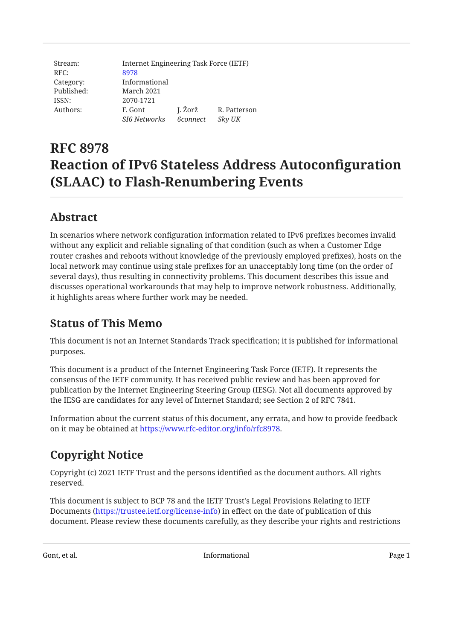| Stream:    | Internet Engineering Task Force (IETF) |                        |              |
|------------|----------------------------------------|------------------------|--------------|
| RFC:       | 8978                                   |                        |              |
| Category:  | Informational                          |                        |              |
| Published: | March 2021                             |                        |              |
| ISSN:      | 2070-1721                              |                        |              |
| Authors:   | F. Gont                                | J. Žorž                | R. Patterson |
|            | <b>SI6 Networks</b>                    | <i><b>6connect</b></i> | Sky UK       |

# **RFC 8978 Reaction of IPv6 Stateless Address Autoconfiguration (SLAAC) to Flash-Renumbering Events**

## <span id="page-0-0"></span>**[Abstract](#page-0-0)**

In scenarios where network configuration information related to IPv6 prefixes becomes invalid without any explicit and reliable signaling of that condition (such as when a Customer Edge router crashes and reboots without knowledge of the previously employed prefixes), hosts on the local network may continue using stale prefixes for an unacceptably long time (on the order of several days), thus resulting in connectivity problems. This document describes this issue and discusses operational workarounds that may help to improve network robustness. Additionally, it highlights areas where further work may be needed.

## <span id="page-0-1"></span>**[Status of This Memo](#page-0-1)**

This document is not an Internet Standards Track specification; it is published for informational purposes.

This document is a product of the Internet Engineering Task Force (IETF). It represents the consensus of the IETF community. It has received public review and has been approved for publication by the Internet Engineering Steering Group (IESG). Not all documents approved by the IESG are candidates for any level of Internet Standard; see Section 2 of RFC 7841.

Information about the current status of this document, any errata, and how to provide feedback on it may be obtained at <https://www.rfc-editor.org/info/rfc8978>.

## <span id="page-0-2"></span>**[Copyright Notice](#page-0-2)**

Copyright (c) 2021 IETF Trust and the persons identified as the document authors. All rights reserved.

This document is subject to BCP 78 and the IETF Trust's Legal Provisions Relating to IETF Documents (<https://trustee.ietf.org/license-info>) in effect on the date of publication of this document. Please review these documents carefully, as they describe your rights and restrictions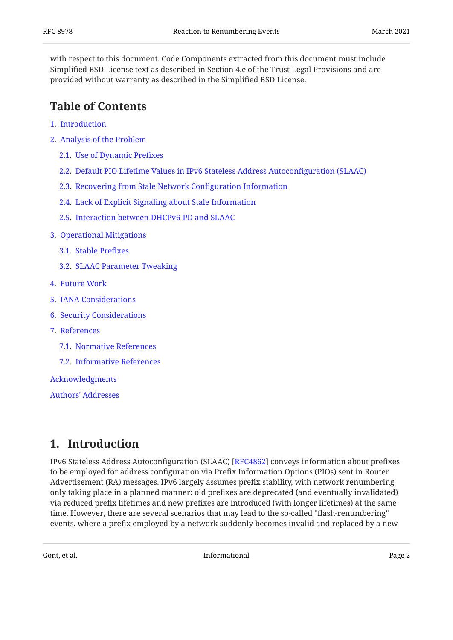with respect to this document. Code Components extracted from this document must include Simplified BSD License text as described in Section 4.e of the Trust Legal Provisions and are provided without warranty as described in the Simplified BSD License.

## <span id="page-1-0"></span>**[Table of Contents](#page-1-0)**

- [1.](#page-1-1) [Introduction](#page-1-1)
- [2.](#page-3-0) [Analysis of the Problem](#page-3-0)
	- [2.1.](#page-3-1) [Use of Dynamic Pre](#page-3-1)fixes
	- [2.2.](#page-4-0) [Default PIO Lifetime Values in IPv6 Stateless Address Autocon](#page-4-0)figuration (SLAAC)
	- [2.3.](#page-5-0) [Recovering from Stale Network Con](#page-5-0)figuration Information
	- [2.4.](#page-5-1) [Lack of Explicit Signaling about Stale Information](#page-5-1)
	- [2.5.](#page-6-0) [Interaction between DHCPv6-PD and SLAAC](#page-6-0)
- [3.](#page-6-1) [Operational Mitigations](#page-6-1)
	- [3.1.](#page-6-2) [Stable Pre](#page-6-2)fixes
	- [3.2.](#page-6-3) [SLAAC Parameter Tweaking](#page-6-3)
- [4.](#page-7-0) [Future Work](#page-7-0)
- [5.](#page-7-1) [IANA Considerations](#page-7-1)
- [6.](#page-8-0) [Security Considerations](#page-8-0)
- [7.](#page-8-1) [References](#page-8-1)
	- [7.1.](#page-8-2) [Normative References](#page-8-2)
	- [7.2.](#page-8-3) [Informative References](#page-8-3)

[Acknowledgments](#page-10-0)

[Authors' Addresses](#page-10-1)

### <span id="page-1-1"></span>**[1. Introduction](#page-1-1)**

IPv6 Stateless Address Autoconfiguration (SLAAC) [RFC4862] conveys information about prefixes to be employed for address configuration via Prefix Information Options (PIOs) sent in Router Advertisement (RA) messages. IPv6 largely assumes prefix stability, with network renumbering only taking place in a planned manner: old prefixes are deprecated (and eventually invalidated) via reduced prefix lifetimes and new prefixes are introduced (with longer lifetimes) at the same time. However, there are several scenarios that may lead to the so-called "flash-renumbering" events, where a prefix employed by a network suddenly becomes invalid and replaced by a new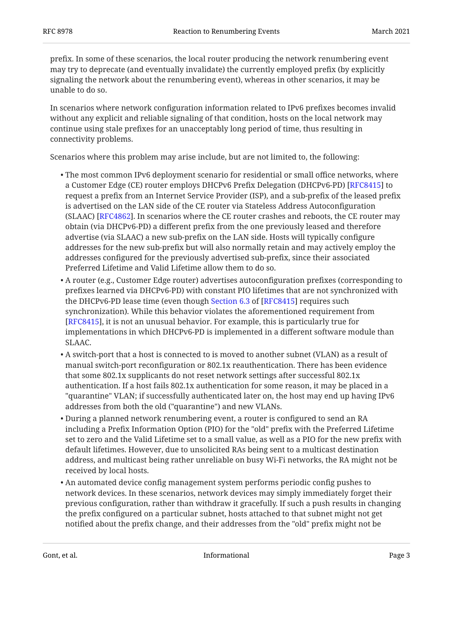prefix. In some of these scenarios, the local router producing the network renumbering event may try to deprecate (and eventually invalidate) the currently employed prefix (by explicitly signaling the network about the renumbering event), whereas in other scenarios, it may be unable to do so.

In scenarios where network configuration information related to IPv6 prefixes becomes invalid without any explicit and reliable signaling of that condition, hosts on the local network may continue using stale prefixes for an unacceptably long period of time, thus resulting in connectivity problems.

Scenarios where this problem may arise include, but are not limited to, the following:

- The most common IPv6 deployment scenario for residential or small office networks, where a Customer Edge (CE) router employs DHCPv6 Prefix Delegation (DHCPv6-PD) [[RFC8415\]](#page-8-5) to request a prefix from an Internet Service Provider (ISP), and a sub-prefix of the leased prefix is advertised on the LAN side of the CE router via Stateless Address Autoconfiguration (SLAAC) [RFC4862]. In scenarios where the CE router crashes and reboots, the CE router may obtain (via DHCPv6-PD) a different prefix from the one previously leased and therefore advertise (via SLAAC) a new sub-prefix on the LAN side. Hosts will typically configure addresses for the new sub-prefix but will also normally retain and may actively employ the addresses configured for the previously advertised sub-prefix, since their associated Preferred Lifetime and Valid Lifetime allow them to do so.
- A router (e.g., Customer Edge router) advertises autoconfiguration prefixes (corresponding to prefixes learned via DHCPv6-PD) with constant PIO lifetimes that are not synchronized with theDHCPv6-PD lease time (even though Section 6.3 of [RFC8415] requires such synchronization). While this behavior violates the aforementioned requirement from [[RFC8415\]](#page-8-5), it is not an unusual behavior. For example, this is particularly true for implementations in which DHCPv6-PD is implemented in a different software module than SLAAC.
- $\bullet$  A switch-port that a host is connected to is moved to another subnet (VLAN) as a result of manual switch-port reconfiguration or 802.1x reauthentication. There has been evidence that some 802.1x supplicants do not reset network settings after successful 802.1x authentication. If a host fails 802.1x authentication for some reason, it may be placed in a "quarantine" VLAN; if successfully authenticated later on, the host may end up having IPv6 addresses from both the old ("quarantine") and new VLANs.
- During a planned network renumbering event, a router is configured to send an RA including a Prefix Information Option (PIO) for the "old" prefix with the Preferred Lifetime set to zero and the Valid Lifetime set to a small value, as well as a PIO for the new prefix with default lifetimes. However, due to unsolicited RAs being sent to a multicast destination address, and multicast being rather unreliable on busy Wi-Fi networks, the RA might not be received by local hosts.
- An automated device config management system performs periodic config pushes to network devices. In these scenarios, network devices may simply immediately forget their previous configuration, rather than withdraw it gracefully. If such a push results in changing the prefix configured on a particular subnet, hosts attached to that subnet might not get notified about the prefix change, and their addresses from the "old" prefix might not be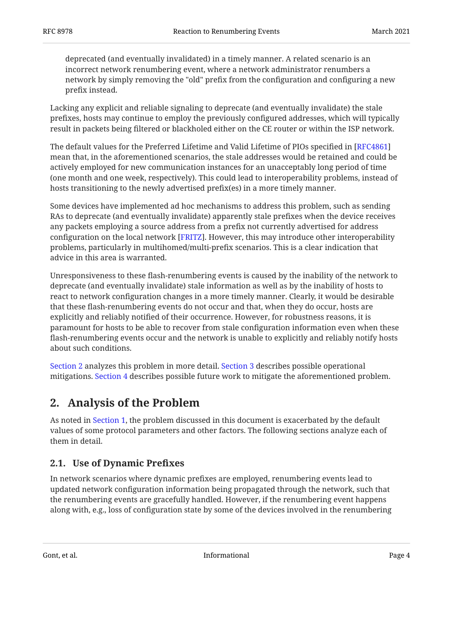deprecated (and eventually invalidated) in a timely manner. A related scenario is an incorrect network renumbering event, where a network administrator renumbers a network by simply removing the "old" prefix from the configuration and configuring a new prefix instead.

Lacking any explicit and reliable signaling to deprecate (and eventually invalidate) the stale prefixes, hosts may continue to employ the previously configured addresses, which will typically result in packets being filtered or blackholed either on the CE router or within the ISP network.

The default values for the Preferred Lifetime and Valid Lifetime of PIOs specified in [\[RFC4861](#page-8-6)] mean that, in the aforementioned scenarios, the stale addresses would be retained and could be actively employed for new communication instances for an unacceptably long period of time (one month and one week, respectively). This could lead to interoperability problems, instead of hosts transitioning to the newly advertised prefix(es) in a more timely manner.

Some devices have implemented ad hoc mechanisms to address this problem, such as sending RAs to deprecate (and eventually invalidate) apparently stale prefixes when the device receives any packets employing a source address from a prefix not currently advertised for address configuration on the local network [FRITZ]. However, this may introduce other interoperability problems, particularly in multihomed/multi-prefix scenarios. This is a clear indication that advice in this area is warranted.

Unresponsiveness to these flash-renumbering events is caused by the inability of the network to deprecate (and eventually invalidate) stale information as well as by the inability of hosts to react to network configuration changes in a more timely manner. Clearly, it would be desirable that these flash-renumbering events do not occur and that, when they do occur, hosts are explicitly and reliably notified of their occurrence. However, for robustness reasons, it is paramount for hosts to be able to recover from stale configuration information even when these flash-renumbering events occur and the network is unable to explicitly and reliably notify hosts about such conditions.

[Section 2](#page-3-0) analyzes this problem in more detail. [Section 3](#page-6-1) describes possible operational mitigations. [Section 4](#page-7-0) describes possible future work to mitigate the aforementioned problem.

## <span id="page-3-0"></span>**[2. Analysis of the Problem](#page-3-0)**

As noted in [Section 1,](#page-1-1) the problem discussed in this document is exacerbated by the default values of some protocol parameters and other factors. The following sections analyze each of them in detail.

### <span id="page-3-1"></span>**[2.1. Use of Dynamic Pre](#page-3-1)fixes**

In network scenarios where dynamic prefixes are employed, renumbering events lead to updated network configuration information being propagated through the network, such that the renumbering events are gracefully handled. However, if the renumbering event happens along with, e.g., loss of configuration state by some of the devices involved in the renumbering

Gont, et al. **Informational Page 4 Contract Contract Contract Contract Contract Contract Contract Contract Contract Contract Contract Contract Contract Contract Contract Contract Contract Contract Contract Contract Con**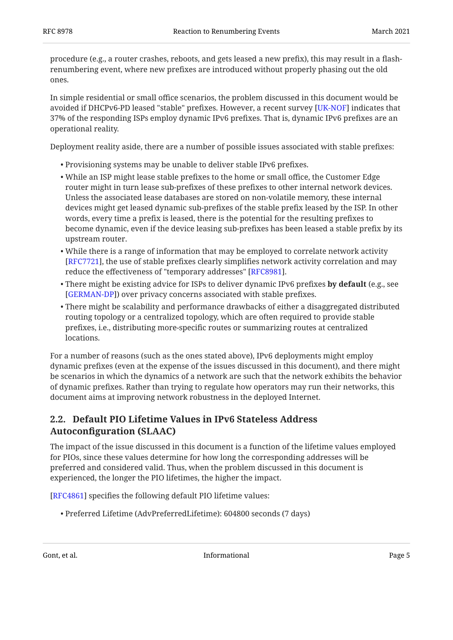procedure (e.g., a router crashes, reboots, and gets leased a new prefix), this may result in a flashrenumbering event, where new prefixes are introduced without properly phasing out the old ones.

In simple residential or small office scenarios, the problem discussed in this document would be avoided if DHCPv6-PD leased "stable" prefixes. However, a recent survey [\[UK-NOF](#page-9-0)] indicates that 37% of the responding ISPs employ dynamic IPv6 prefixes. That is, dynamic IPv6 prefixes are an operational reality.

Deployment reality aside, there are a number of possible issues associated with stable prefixes:

- Provisioning systems may be unable to deliver stable IPv6 prefixes. •
- While an ISP might lease stable prefixes to the home or small office, the Customer Edge router might in turn lease sub-prefixes of these prefixes to other internal network devices. Unless the associated lease databases are stored on non-volatile memory, these internal devices might get leased dynamic sub-prefixes of the stable prefix leased by the ISP. In other words, every time a prefix is leased, there is the potential for the resulting prefixes to become dynamic, even if the device leasing sub-prefixes has been leased a stable prefix by its upstream router.
- While there is a range of information that may be employed to correlate network activity [[RFC7721\]](#page-9-1), the use of stable prefixes clearly simplifies network activity correlation and may reduce the effectiveness of "temporary addresses" [[RFC8981\]](#page-9-2).
- There might be existing advice for ISPs to deliver dynamic IPv6 prefixes **by default** (e.g., see [[GERMAN-DP\]](#page-9-3)) over privacy concerns associated with stable prefixes.
- There might be scalability and performance drawbacks of either a disaggregated distributed routing topology or a centralized topology, which are often required to provide stable prefixes, i.e., distributing more-specific routes or summarizing routes at centralized locations.

For a number of reasons (such as the ones stated above), IPv6 deployments might employ dynamic prefixes (even at the expense of the issues discussed in this document), and there might be scenarios in which the dynamics of a network are such that the network exhibits the behavior of dynamic prefixes. Rather than trying to regulate how operators may run their networks, this document aims at improving network robustness in the deployed Internet.

### <span id="page-4-0"></span>**[2.2. Default PIO Lifetime Values in IPv6 Stateless Address](#page-4-0) Autoconfi[guration \(SLAAC\)](#page-4-0)**

The impact of the issue discussed in this document is a function of the lifetime values employed for PIOs, since these values determine for how long the corresponding addresses will be preferred and considered valid. Thus, when the problem discussed in this document is experienced, the longer the PIO lifetimes, the higher the impact.

[[RFC4861\]](#page-8-6) specifies the following default PIO lifetime values:

Preferred Lifetime (AdvPreferredLifetime): 604800 seconds (7 days) •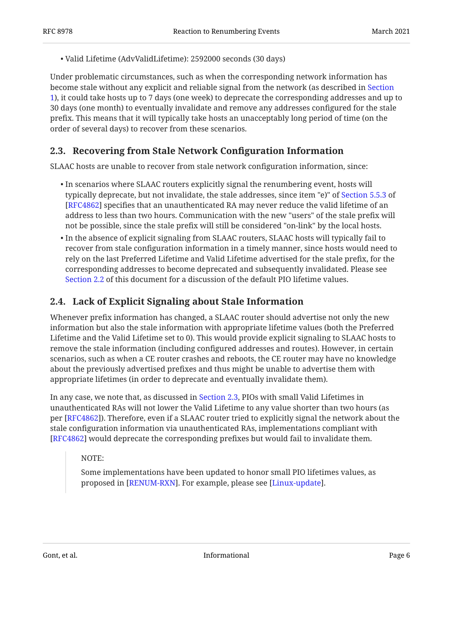Valid Lifetime (AdvValidLifetime): 2592000 seconds (30 days) •

Under problematic circumstances, such as when the corresponding network information has become stale without any explicit and reliable signal from the network (as described in [Section](#page-1-1) [1\)](#page-1-1), it could take hosts up to 7 days (one week) to deprecate the corresponding addresses and up to 30 days (one month) to eventually invalidate and remove any addresses configured for the stale prefix. This means that it will typically take hosts an unacceptably long period of time (on the order of several days) to recover from these scenarios.

### <span id="page-5-0"></span>**[2.3. Recovering from Stale Network Con](#page-5-0)figuration Information**

SLAAC hosts are unable to recover from stale network configuration information, since:

- $\bullet$  In scenarios where SLAAC routers explicitly signal the renumbering event, hosts will typically deprecate, but not invalidate, the stale addresses, since item "e)" of [Section 5.5.3](https://www.rfc-editor.org/rfc/rfc4862#section-5.5.3) of [[RFC4862\]](#page-8-4) specifies that an unauthenticated RA may never reduce the valid lifetime of an address to less than two hours. Communication with the new "users" of the stale prefix will not be possible, since the stale prefix will still be considered "on-link" by the local hosts.
- $\bullet$  In the absence of explicit signaling from SLAAC routers, SLAAC hosts will typically fail to recover from stale configuration information in a timely manner, since hosts would need to rely on the last Preferred Lifetime and Valid Lifetime advertised for the stale prefix, for the corresponding addresses to become deprecated and subsequently invalidated. Please see [Section 2.2](#page-4-0) of this document for a discussion of the default PIO lifetime values.

### <span id="page-5-1"></span>**[2.4. Lack of Explicit Signaling about Stale Information](#page-5-1)**

Whenever prefix information has changed, a SLAAC router should advertise not only the new information but also the stale information with appropriate lifetime values (both the Preferred Lifetime and the Valid Lifetime set to 0). This would provide explicit signaling to SLAAC hosts to remove the stale information (including configured addresses and routes). However, in certain scenarios, such as when a CE router crashes and reboots, the CE router may have no knowledge about the previously advertised prefixes and thus might be unable to advertise them with appropriate lifetimes (in order to deprecate and eventually invalidate them).

In any case, we note that, as discussed in [Section 2.3,](#page-5-0) PIOs with small Valid Lifetimes in unauthenticated RAs will not lower the Valid Lifetime to any value shorter than two hours (as per [\[RFC4862](#page-8-4)]). Therefore, even if a SLAAC router tried to explicitly signal the network about the stale configuration information via unauthenticated RAs, implementations compliant with [[RFC4862\]](#page-8-4) would deprecate the corresponding prefixes but would fail to invalidate them.

NOTE:

Some implementations have been updated to honor small PIO lifetimes values, as proposed in [[RENUM-RXN\]](#page-9-4). For example, please see [Linux-update].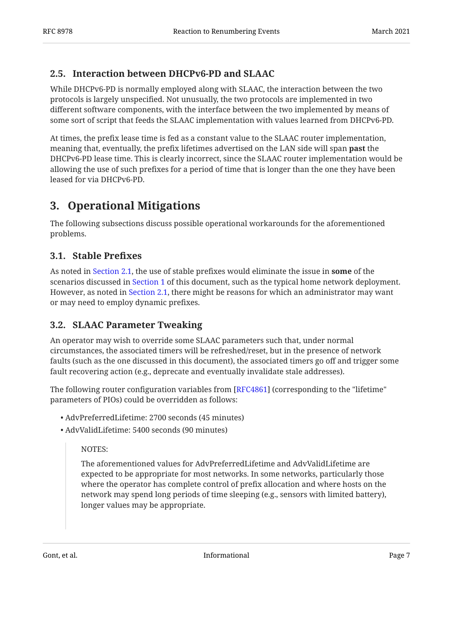### <span id="page-6-0"></span>**[2.5. Interaction between DHCPv6-PD and SLAAC](#page-6-0)**

While DHCPv6-PD is normally employed along with SLAAC, the interaction between the two protocols is largely unspecified. Not unusually, the two protocols are implemented in two different software components, with the interface between the two implemented by means of some sort of script that feeds the SLAAC implementation with values learned from DHCPv6-PD.

At times, the prefix lease time is fed as a constant value to the SLAAC router implementation, meaning that, eventually, the prefix lifetimes advertised on the LAN side will span **past** the DHCPv6-PD lease time. This is clearly incorrect, since the SLAAC router implementation would be allowing the use of such prefixes for a period of time that is longer than the one they have been leased for via DHCPv6-PD.

## <span id="page-6-1"></span>**[3. Operational Mitigations](#page-6-1)**

The following subsections discuss possible operational workarounds for the aforementioned problems.

### <span id="page-6-2"></span>**[3.1. Stable Pre](#page-6-2)fixes**

As noted in [Section 2.1](#page-3-1), the use of stable prefixes would eliminate the issue in **some** of the scenarios discussed in [Section 1](#page-1-1) of this document, such as the typical home network deployment. However, as noted in [Section 2.1](#page-3-1), there might be reasons for which an administrator may want or may need to employ dynamic prefixes.

### <span id="page-6-3"></span>**[3.2. SLAAC Parameter Tweaking](#page-6-3)**

An operator may wish to override some SLAAC parameters such that, under normal circumstances, the associated timers will be refreshed/reset, but in the presence of network faults (such as the one discussed in this document), the associated timers go off and trigger some fault recovering action (e.g., deprecate and eventually invalidate stale addresses).

The following router configuration variables from [[RFC4861\]](#page-8-6) (corresponding to the "lifetime" parameters of PIOs) could be overridden as follows:

- AdvPreferredLifetime: 2700 seconds (45 minutes) •
- AdvValidLifetime: 5400 seconds (90 minutes) •

#### NOTES:

The aforementioned values for AdvPreferredLifetime and AdvValidLifetime are expected to be appropriate for most networks. In some networks, particularly those where the operator has complete control of prefix allocation and where hosts on the network may spend long periods of time sleeping (e.g., sensors with limited battery), longer values may be appropriate.

Gont, et al. 2008 and 2008 and 2008 and 2008 and 2008 and 2008 and 2008 and 2008 and 2008 and 2008 and 2008 and 2008 and 2008 and 2008 and 2008 and 2008 and 2008 and 2008 and 2008 and 2008 and 2008 and 2008 and 2008 and 20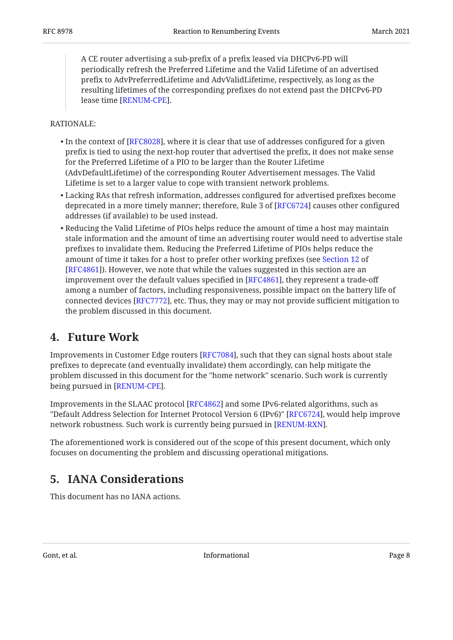A CE router advertising a sub-prefix of a prefix leased via DHCPv6-PD will periodically refresh the Preferred Lifetime and the Valid Lifetime of an advertised prefix to AdvPreferredLifetime and AdvValidLifetime, respectively, as long as the resulting lifetimes of the corresponding prefixes do not extend past the DHCPv6-PD lease time [[RENUM-CPE](#page-9-6)].

#### RATIONALE:

- $\bullet$  In the context of [RFC8028], where it is clear that use of addresses configured for a given prefix is tied to using the next-hop router that advertised the prefix, it does not make sense for the Preferred Lifetime of a PIO to be larger than the Router Lifetime (AdvDefaultLifetime) of the corresponding Router Advertisement messages. The Valid Lifetime is set to a larger value to cope with transient network problems.
- Lacking RAs that refresh information, addresses configured for advertised prefixes become deprecated in a more timely manner; therefore, Rule 3 of [RFC6724] causes other configured addresses (if available) to be used instead.
- $\bullet$  Reducing the Valid Lifetime of PIOs helps reduce the amount of time a host may maintain stale information and the amount of time an advertising router would need to advertise stale prefixes to invalidate them. Reducing the Preferred Lifetime of PIOs helps reduce the amount of time it takes for a host to prefer other working prefixes (see [Section 12](https://www.rfc-editor.org/rfc/rfc4861#section-12) of [[RFC4861\]](#page-8-6)). However, we note that while the values suggested in this section are an improvement over the default values specified in [\[RFC4861](#page-8-6)], they represent a trade-off among a number of factors, including responsiveness, possible impact on the battery life of connected devices [RFC7772], etc. Thus, they may or may not provide sufficient mitigation to the problem discussed in this document.

### <span id="page-7-0"></span>**[4. Future Work](#page-7-0)**

Improvements in Customer Edge routers [RFC7084], such that they can signal hosts about stale prefixes to deprecate (and eventually invalidate) them accordingly, can help mitigate the problem discussed in this document for the "home network" scenario. Such work is currently being pursued in [RENUM-CPE].

Improvements in the SLAAC protocol [RFC4862] and some IPv6-related algorithms, such as "Default Address Selection for Internet Protocol Version 6 (IPv6)" [RFC6724], would help improve network robustness. Such work is currently being pursued in [RENUM-RXN].

<span id="page-7-1"></span>The aforementioned work is considered out of the scope of this present document, which only focuses on documenting the problem and discussing operational mitigations.

## **[5. IANA Considerations](#page-7-1)**

This document has no IANA actions.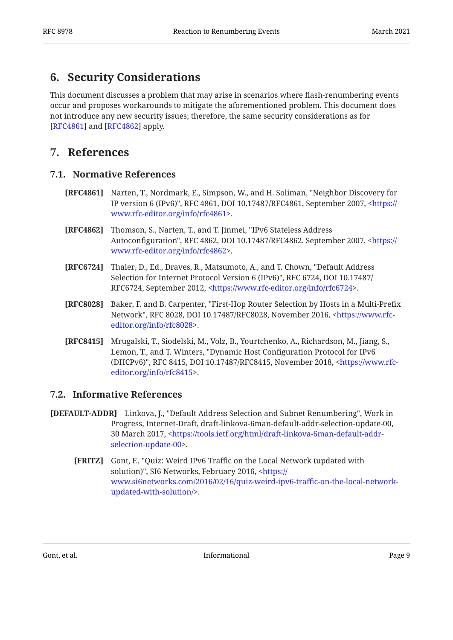### <span id="page-8-0"></span>**[6. Security Considerations](#page-8-0)**

This document discusses a problem that may arise in scenarios where flash-renumbering events occur and proposes workarounds to mitigate the aforementioned problem. This document does not introduce any new security issues; therefore, the same security considerations as for [[RFC4861\]](#page-8-6) and  $[REC4862]$  apply.

### <span id="page-8-2"></span><span id="page-8-1"></span>**[7. References](#page-8-1)**

#### **[7.1. Normative References](#page-8-2)**

- <span id="page-8-6"></span>**[RFC4861]** Narten, T., Nordmark, E., Simpson, W., and H. Soliman, "Neighbor Discovery for IP version 6 (IPv6)", RFC 4861, DOI 10.17487/RFC4861, September 2007, [<https://](https://www.rfc-editor.org/info/rfc4861) . [www.rfc-editor.org/info/rfc4861>](https://www.rfc-editor.org/info/rfc4861)
- <span id="page-8-4"></span>**[RFC4862]** Thomson, S., Narten, T., and T. Jinmei, "IPv6 Stateless Address Autoconfiguration", RFC 4862, DOI 10.17487/RFC4862, September 2007, [<https://](https://www.rfc-editor.org/info/rfc4862) . [www.rfc-editor.org/info/rfc4862>](https://www.rfc-editor.org/info/rfc4862)
- <span id="page-8-9"></span>**[RFC6724]** Thaler, D., Ed., Draves, R., Matsumoto, A., and T. Chown, "Default Address Selection for Internet Protocol Version 6 (IPv6)", RFC 6724, DOI 10.17487/ RFC6724, September 2012, [<https://www.rfc-editor.org/info/rfc6724](https://www.rfc-editor.org/info/rfc6724)>.
- <span id="page-8-8"></span>**[RFC8028]** , Baker, F. and B. Carpenter "First-Hop Router Selection by Hosts in a Multi-Prefix Network", RFC 8028, DOI 10.17487/RFC8028, November 2016, <[https://www.rfc-](https://www.rfc-editor.org/info/rfc8028). [editor.org/info/rfc8028>](https://www.rfc-editor.org/info/rfc8028)
- <span id="page-8-5"></span>**[RFC8415]** Mrugalski, T., Siodelski, M., Volz, B., Yourtchenko, A., Richardson, M., Jiang, S., Lemon, T., and T. Winters, "Dynamic Host Configuration Protocol for IPv6 (DHCPv6)", RFC 8415, DOI 10.17487/RFC8415, November 2018, <[https://www.rfc-](https://www.rfc-editor.org/info/rfc8415). [editor.org/info/rfc8415>](https://www.rfc-editor.org/info/rfc8415)

### <span id="page-8-3"></span>**[7.2. Informative References](#page-8-3)**

- <span id="page-8-10"></span><span id="page-8-7"></span>**[DEFAULT-ADDR]** Linkova, J., "Default Address Selection and Subnet Renumbering", Work in , , Progress Internet-Draft, draft-linkova-6man-default-addr-selection-update-00 30 March 2017, [<https://tools.ietf.org/html/draft-linkova-6man-default-addr-](https://tools.ietf.org/html/draft-linkova-6man-default-addr-selection-update-00). [selection-update-00>](https://tools.ietf.org/html/draft-linkova-6man-default-addr-selection-update-00)
	- **[FRITZ]** , Gont, F. "Quiz: Weird IPv6 Traffic on the Local Network (updated with solution)", SI6 Networks, February 2016, [<https://](https://www.si6networks.com/2016/02/16/quiz-weird-ipv6-traffic-on-the-local-network-updated-with-solution/) . [updated-with-solution/>](https://www.si6networks.com/2016/02/16/quiz-weird-ipv6-traffic-on-the-local-network-updated-with-solution/) [www.si6networks.com/2016/02/16/quiz-weird-ipv6-tra](https://www.si6networks.com/2016/02/16/quiz-weird-ipv6-traffic-on-the-local-network-updated-with-solution/)ffic-on-the-local-network-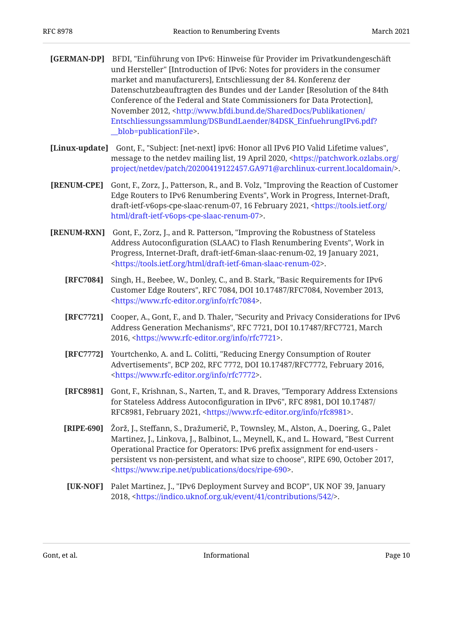- <span id="page-9-3"></span>**[GERMAN-DP]** BFDI, "Einführung von IPv6: Hinweise für Provider im Privatkundengeschäft market and manufacturers], Entschliessung der 84. Konferenz der , Conference of the Federal and State Commissioners for Data Protection] November 2012, <[http://www.bfdi.bund.de/SharedDocs/Publikationen/](http://www.bfdi.bund.de/SharedDocs/Publikationen/Entschliessungssammlung/DSBundLaender/84DSK_EinfuehrungIPv6.pdf?__blob=publicationFile) . [\\_\\_blob=publicationFile>](http://www.bfdi.bund.de/SharedDocs/Publikationen/Entschliessungssammlung/DSBundLaender/84DSK_EinfuehrungIPv6.pdf?__blob=publicationFile) und Hersteller" [Introduction of IPv6: Notes for providers in the consumer Datenschutzbeauftragten des Bundes und der Lander [Resolution of the 84th [Entschliessungssammlung/DSBundLaender/84DSK\\_EinfuehrungIPv6.pdf?](http://www.bfdi.bund.de/SharedDocs/Publikationen/Entschliessungssammlung/DSBundLaender/84DSK_EinfuehrungIPv6.pdf?__blob=publicationFile)
- <span id="page-9-5"></span>**[Linux-update]** Gont, F., "Subject: [net-next] ipv6: Honor all IPv6 PIO Valid Lifetime values", message to the netdev mailing list, 19 April 2020, <[https://patchwork.ozlabs.org/](https://patchwork.ozlabs.org/project/netdev/patch/20200419122457.GA971@archlinux-current.localdomain/) . [project/netdev/patch/20200419122457.GA971@archlinux-current.localdomain/>](https://patchwork.ozlabs.org/project/netdev/patch/20200419122457.GA971@archlinux-current.localdomain/)
- <span id="page-9-6"></span>**[RENUM-CPE]** Gont, F., Zorz, J., Patterson, R., and B. Volz, "Improving the Reaction of Customer Edge Routers to IPv6 Renumbering Events", Work in Progress, Internet-Draft, draft-ietf-v6ops-cpe-slaac-renum-07, 16 February 2021, <[https://tools.ietf.org/](https://tools.ietf.org/html/draft-ietf-v6ops-cpe-slaac-renum-07) . [html/draft-ietf-v6ops-cpe-slaac-renum-07>](https://tools.ietf.org/html/draft-ietf-v6ops-cpe-slaac-renum-07)
- <span id="page-9-8"></span><span id="page-9-7"></span><span id="page-9-4"></span><span id="page-9-2"></span><span id="page-9-1"></span>**[RENUM-RXN]** Gont, F., Zorz, J., and R. Patterson, "Improving the Robustness of Stateless Address Autoconfiguration (SLAAC) to Flash Renumbering Events", Work in Progress, Internet-Draft, draft-ietf-6man-slaac-renum-02, 19 January 2021, . [<https://tools.ietf.org/html/draft-ietf-6man-slaac-renum-02](https://tools.ietf.org/html/draft-ietf-6man-slaac-renum-02)>
	- **[RFC7084]** , Singh, H., Beebee, W., Donley, C., and B. Stark "Basic Requirements for IPv6 Customer Edge Routers", RFC 7084, DOI 10.17487/RFC7084, November 2013, . [<https://www.rfc-editor.org/info/rfc7084](https://www.rfc-editor.org/info/rfc7084)>
	- **[RFC7721]** Cooper, A., Gont, F., and D. Thaler, "Security and Privacy Considerations for IPv6 Address Generation Mechanisms", RFC 7721, DOI 10.17487/RFC7721, March 2016, <https://www.rfc-editor.org/info/rfc7721>.
	- **[RFC7772]** Yourtchenko, A. and L. Colitti, "Reducing Energy Consumption of Router Advertisements", BCP 202, RFC 7772, DOI 10.17487/RFC7772, February 2016, . [<https://www.rfc-editor.org/info/rfc7772](https://www.rfc-editor.org/info/rfc7772)>
	- **[RFC8981]** Gont, F., Krishnan, S., Narten, T., and R. Draves, "Temporary Address Extensions for Stateless Address Autoconfiguration in IPv6", RFC 8981, DOI 10.17487/ RFC8981, February 2021, <[https://www.rfc-editor.org/info/rfc8981>](https://www.rfc-editor.org/info/rfc8981).
	- **[RIPE-690]** Žorž, J., Steffann, S., Dražumerič, P., Townsley, M., Alston, A., Doering, G., Palet Martinez, J., Linkova, J., Balbinot, L., Meynell, K., and L. Howard, "Best Current persistent vs non-persistent, and what size to choose", RIPE 690, October 2017, . [<https://www.ripe.net/publications/docs/ripe-690](https://www.ripe.net/publications/docs/ripe-690)> Operational Practice for Operators: IPv6 prefix assignment for end-users -
	- **[UK-NOF]** Palet Martinez, J., "IPv6 Deployment Survey and BCOP", UK NOF 39, January 2018, <<https://indico.uknof.org.uk/event/41/contributions/542/>>.

<span id="page-9-9"></span><span id="page-9-0"></span>